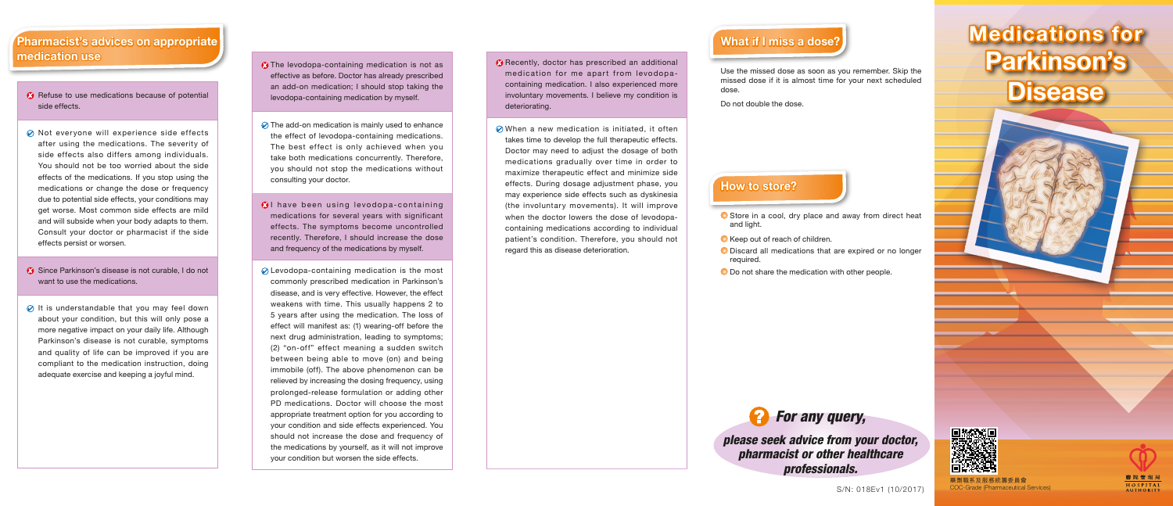### How to store?

- and light.
- 
- required.
- 
- 

Discard all medications that are expired or no longer

O Do not share the medication with other people.



- Refuse to use medications because of potential side effects.
- $\oslash$  Not everyone will experience side effects after using the medications. The severity of side effects also differs among individuals. You should not be too worried about the side effects of the medications. If you stop using the medications or change the dose or frequency due to potential side effects, your conditions may get worse. Most common side effects are mild and will subside when your body adapts to them. Consult your doctor or pharmacist if the side effects persist or worsen.
- Since Parkinson's disease is not curable, I do not want to use the medications.
- $\oslash$  It is understandable that you may feel down about your condition, but this will only pose a more negative impact on your daily life. Although Parkinson's disease is not curable, symptoms and quality of life can be improved if you are compliant to the medication instruction, doing adequate exercise and keeping a joyful mind.

S/N: 018Ev1 (10/2017)

藥劑職系及服務統籌委員會 COC-Grade (Pharmaceutical Services)



- $\Omega$  The levodopa-containing medication is not as effective as before. Doctor has already prescribed an add-on medication; I should stop taking the levodopa-containing medication by myself.
- $\oslash$  The add-on medication is mainly used to enhance the effect of levodopa-containing medications. The best effect is only achieved when you take both medications concurrently. Therefore, you should not stop the medications without consulting your doctor.
- **B**I have been using levodopa-containing medications for several years with significant effects. The symptoms become uncontrolled recently. Therefore, I should increase the dose and frequency of the medications by myself.
- $\oslash$  Levodopa-containing medication is the most commonly prescribed medication in Parkinson's disease, and is very effective. However, the effect weakens with time. This usually happens 2 to 5 years after using the medication. The loss of effect will manifest as: (1) wearing-off before the next drug administration, leading to symptoms; (2) "on-off" effect meaning a sudden switch between being able to move (on) and being immobile (off). The above phenomenon can be relieved by increasing the dosing frequency, using prolonged-release formulation or adding other PD medications. Doctor will choose the most appropriate treatment option for you according to your condition and side effects experienced. You should not increase the dose and frequency of the medications by yourself, as it will not improve your condition but worsen the side effects.

## Medications for Parkinson's **Disease**

# What if I miss a dose?

Use the missed dose as soon as you remember. Skip the missed dose if it is almost time for your next scheduled

● Store in a cool, dry place and away from direct heat

Keep out of reach of children.

dose.

Do not double the dose.



*please seek advice from your doctor, pharmacist or other healthcare professionals.*



- Recently, doctor has prescribed an additional medication for me apart from levodopacontaining medication. I also experienced more involuntary movements. I believe my condition is deteriorating.
- **⊘** When a new medication is initiated, it often takes time to develop the full therapeutic effects. Doctor may need to adjust the dosage of both medications gradually over time in order to maximize therapeutic effect and minimize side effects. During dosage adjustment phase, you may experience side effects such as dyskinesia (the involuntary movements). It will improve when the doctor lowers the dose of levodopacontaining medications according to individual patient's condition. Therefore, you should not regard this as disease deterioration.